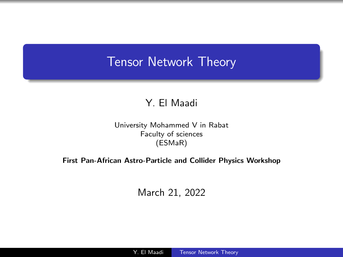## <span id="page-0-0"></span>Tensor Network Theory

#### Y. El Maadi

University Mohammed V in Rabat Faculty of sciences (ESMaR)

#### First Pan-African Astro-Particle and Collider Physics Workshop

March 21, 2022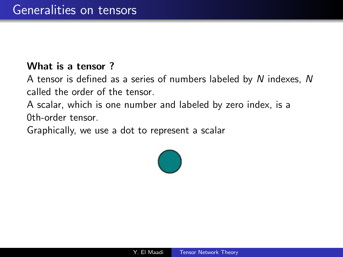#### What is a tensor ?

A tensor is defined as a series of numbers labeled by N indexes, N called the order of the tensor.

A scalar, which is one number and labeled by zero index, is a 0th-order tensor.

Graphically, we use a dot to represent a scalar

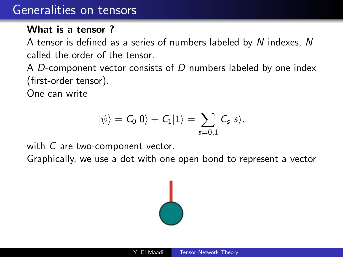### Generalities on tensors

#### What is a tensor?

A tensor is defined as a series of numbers labeled by N indexes, N called the order of the tensor.

A  $D$ -component vector consists of  $D$  numbers labeled by one index (first-order tensor).

One can write

$$
|\psi\rangle = C_0|0\rangle + C_1|1\rangle = \sum_{s=0,1} C_s|s\rangle,
$$

with C are two-component vector.

Graphically, we use a dot with one open bond to represent a vector

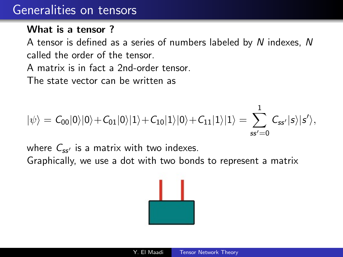### Generalities on tensors

#### What is a tensor?

A tensor is defined as a series of numbers labeled by N indexes, N called the order of the tensor.

A matrix is in fact a 2nd-order tensor.

The state vector can be written as

$$
|\psi\rangle = C_{00}|0\rangle|0\rangle + C_{01}|0\rangle|1\rangle + C_{10}|1\rangle|0\rangle + C_{11}|1\rangle|1\rangle = \sum_{ss'=0}^{1} C_{ss'}|s\rangle|s'\rangle,
$$

where  $C_{ss'}$  is a matrix with two indexes. Graphically, we use a dot with two bonds to represent a matrix

$$
\frac{\|\cdot\|}{\|\cdot\| \cdot\|}
$$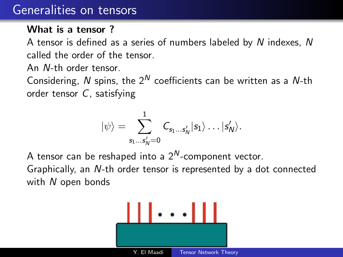### Generalities on tensors

#### What is a tensor?

A tensor is defined as a series of numbers labeled by N indexes, N called the order of the tensor.

An N-th order tensor.

Considering, N spins, the  $2^N$  coefficients can be written as a N-th order tensor C, satisfying

$$
|\psi\rangle=\sum_{s_1\ldots s_N'=0}^1 C_{s_1\ldots s_N'}|s_1\rangle\ldots|s_N'\rangle.
$$

A tensor can be reshaped into a  $2^N$ -component vector.

Graphically, an N-th order tensor is represented by a dot connected with N open bonds

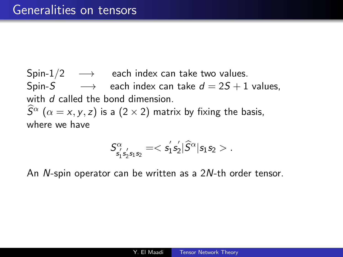Spin- $1/2 \rightarrow$  each index can take two values. Spin-S  $\longrightarrow$  each index can take  $d = 2S + 1$  values, with d called the bond dimension.  $\widehat{S}^{\alpha}$  ( $\alpha = x, y, z$ ) is a (2 × 2) matrix by fixing the basis, where we have

$$
\mathsf{S}_{\mathsf{s}_1^{'}\mathsf{s}_2^{'}\mathsf{s}_1\mathsf{s}_2}^{\alpha}=<\mathsf{s}_1^{'}\mathsf{s}_2^{'}|\widehat{S}^{\alpha}| \mathsf{s}_1\mathsf{s}_2>.
$$

An N-spin operator can be written as a 2N-th order tensor.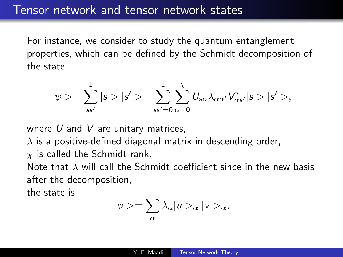### Tensor network and tensor network states

For instance, we consider to study the quantum entanglement properties, which can be defined by the Schmidt decomposition of the state

$$
|\psi>=\sum_{\textbf{s}\textbf{s}'}^{1}|\textbf{s}>|\textbf{s'}>\sum_{\textbf{s}\textbf{s}'=0}\sum_{\alpha=0}^{\chi}U_{\textbf{s}\alpha}\lambda_{\alpha\alpha'}V_{\alpha\textbf{s}'}^{*}|\textbf{s}>|\textbf{s'}>,
$$

where  $U$  and  $V$  are unitary matrices,

 $\lambda$  is a positive-defined diagonal matrix in descending order,

 $\chi$  is called the Schmidt rank.

Note that  $\lambda$  will call the Schmidt coefficient since in the new basis after the decomposition,

the state is

$$
|\psi\rangle = \sum_{\alpha} \lambda_{\alpha} |u\rangle_{\alpha} |v\rangle_{\alpha},
$$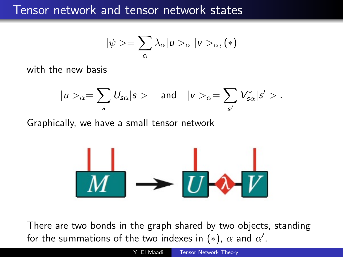### Tensor network and tensor network states

$$
|\psi\rangle = \sum_{\alpha} \lambda_{\alpha} |u\rangle_{\alpha} |v\rangle_{\alpha}, (*)
$$

with the new basis

$$
|u>_{\alpha}=\sum_{s}U_{s\alpha}|s>\quad \text{ and }\quad |v>_{\alpha}=\sum_{s'}V_{s\alpha}^*|s'>.
$$

Graphically, we have a small tensor network

$$
\frac{|}{M} \rightarrow \frac{|}{U} \rightarrow V
$$

There are two bonds in the graph shared by two objects, standing for the summations of the two indexes in (\*),  $\alpha$  and  $\alpha'.$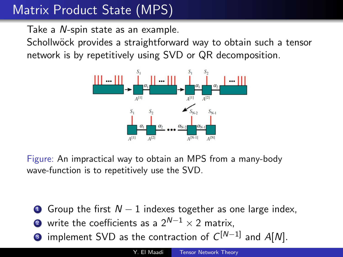Take a N-spin state as an example.

Schollwöck provides a straightforward way to obtain such a tensor network is by repetitively using SVD or QR decomposition.



Figure: An impractical way to obtain an MPS from a many-body wave-function is to repetitively use the SVD.

- **1** Group the first  $N-1$  indexes together as one large index,
- **2** write the coefficients as a  $2^{N-1} \times 2$  matrix,
- $\bullet$  implement SVD as the contraction of  $C^{[N-1]}$  and A[N].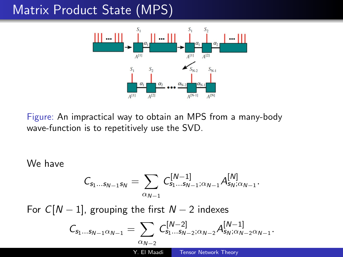

Figure: An impractical way to obtain an MPS from a many-body wave-function is to repetitively use the SVD.

We have

$$
\mathcal{C}_{s_1...s_{N-1}s_N} = \sum_{\alpha_{N-1}} \mathcal{C}_{s_1...s_{N-1};\alpha_{N-1}}^{[N-1]} A_{s_N;\alpha_{N-1}}^{[N]}.
$$

For  $C[N-1]$ , grouping the first  $N-2$  indexes

$$
\mathcal{C}_{\mathsf{s}_1\ldots\mathsf{s}_{N-1}\alpha_{N-1}}=\sum_{\alpha_{N-2}}\mathcal{C}^{[N-2]}_{\mathsf{s}_1\ldots\mathsf{s}_{N-2};\alpha_{N-2}}\mathcal{A}^{[N-1]}_{\mathsf{s}_N;\alpha_{N-2}\alpha_{N-1}}.
$$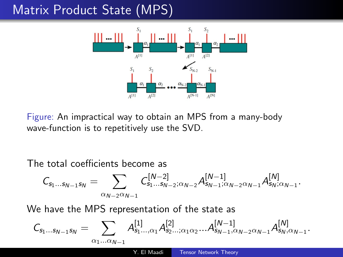

Figure: An impractical way to obtain an MPS from a many-body wave-function is to repetitively use the SVD.

#### The total coefficients become as

$$
\mathcal{C}_{s_1...s_{N-1}s_N} = \sum_{\alpha_{N-2}\alpha_{N-1}} \mathcal{C}_{s_1...s_{N-2};\alpha_{N-2}}^{[N-2]} \mathcal{A}_{s_{N-1};\alpha_{N-2}\alpha_{N-1}}^{[N-1]} \mathcal{A}_{s_N;\alpha_{N-1}}^{[N]}.
$$

We have the MPS representation of the state as

$$
\mathcal{C}_{s_1...s_{N-1}s_N} = \sum_{\alpha_1...\alpha_{N-1}} A^{[1]}_{s_1...,\alpha_1} A^{[2]}_{s_2...;\alpha_1\alpha_2}... A^{[N-1]}_{s_{N-1},\alpha_{N-2}\alpha_{N-1}} A^{[N]}_{s_N,\alpha_{N-1}}.
$$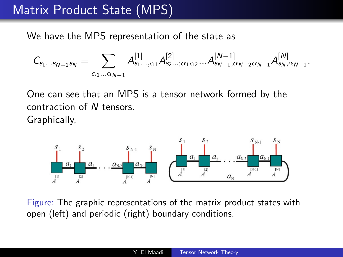We have the MPS representation of the state as

$$
\mathcal{C}_{s_1...s_{N-1}s_N} = \sum_{\alpha_1...\alpha_{N-1}} \mathcal{A}_{s_1...,\alpha_1}^{[1]} \mathcal{A}_{s_2...;\alpha_1\alpha_2}^{[2]} ... \mathcal{A}_{s_{N-1},\alpha_{N-2}\alpha_{N-1}}^{[N-1]} \mathcal{A}_{s_N,\alpha_{N-1}}^{[N]}.
$$

One can see that an MPS is a tensor network formed by the contraction of N tensors. Graphically,



Figure: The graphic representations of the matrix product states with open (left) and periodic (right) boundary conditions.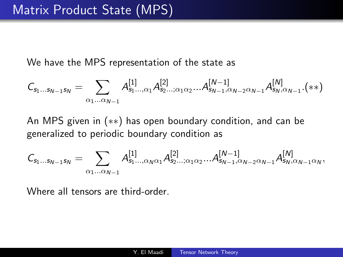We have the MPS representation of the state as

$$
C_{s_1...s_{N-1}s_N} = \sum_{\alpha_1...\alpha_{N-1}} A^{[1]}_{s_1...,\alpha_1} A^{[2]}_{s_2...;\alpha_1\alpha_2}...A^{[N-1]}_{s_{N-1},\alpha_{N-2}\alpha_{N-1}} A^{[N]}_{s_N,\alpha_{N-1}}.(**)
$$

An MPS given in (∗∗) has open boundary condition, and can be generalized to periodic boundary condition as

$$
\mathcal{C}_{s_1...s_{N-1}s_N} = \sum_{\alpha_1...\alpha_{N-1}} \mathcal{A}_{s_1...,\alpha_N\alpha_1}^{[1]}\mathcal{A}_{s_2...;\alpha_1\alpha_2}^{[2]}...\mathcal{A}_{s_{N-1},\alpha_{N-2}\alpha_{N-1}}^{[N-1]}\mathcal{A}_{s_N,\alpha_{N-1}\alpha_N}^{[N]},
$$

Where all tensors are third-order.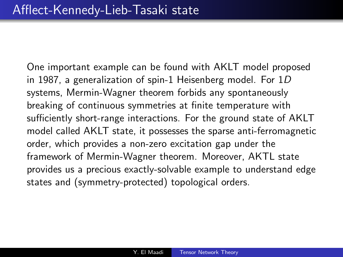One important example can be found with AKLT model proposed in 1987, a generalization of spin-1 Heisenberg model. For 1D systems, Mermin-Wagner theorem forbids any spontaneously breaking of continuous symmetries at finite temperature with sufficiently short-range interactions. For the ground state of AKLT model called AKLT state, it possesses the sparse anti-ferromagnetic order, which provides a non-zero excitation gap under the framework of Mermin-Wagner theorem. Moreover, AKTL state provides us a precious exactly-solvable example to understand edge states and (symmetry-protected) topological orders.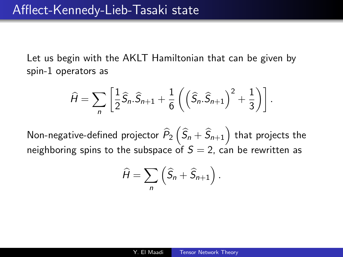Let us begin with the AKLT Hamiltonian that can be given by spin-1 operators as

$$
\widehat{H} = \sum_{n} \left[ \frac{1}{2} \widehat{S}_n \cdot \widehat{S}_{n+1} + \frac{1}{6} \left( \left( \widehat{S}_n \cdot \widehat{S}_{n+1} \right)^2 + \frac{1}{3} \right) \right].
$$

Non-negative-defined projector  $\widehat{P}_2\left(\widehat{S}_n + \widehat{S}_{n+1}\right)$  that projects the neighboring spins to the subspace of  $S = 2$ , can be rewritten as

$$
\widehat{H} = \sum_{n} \left( \widehat{S}_{n} + \widehat{S}_{n+1} \right).
$$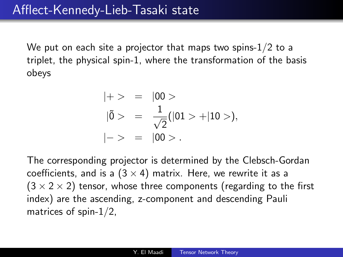We put on each site a projector that maps two spins-1/2 to a triplet, the physical spin-1, where the transformation of the basis obeys

$$
|+ \rangle = |00 \rangle
$$
  
\n
$$
|\tilde{0} \rangle = \frac{1}{\sqrt{2}}(|01 \rangle + |10 \rangle),
$$
  
\n
$$
|-> = |00 \rangle.
$$

The corresponding projector is determined by the Clebsch-Gordan coefficients, and is a  $(3 \times 4)$  matrix. Here, we rewrite it as a  $(3 \times 2 \times 2)$  tensor, whose three components (regarding to the first index) are the ascending, z-component and descending Pauli matrices of spin-1/2,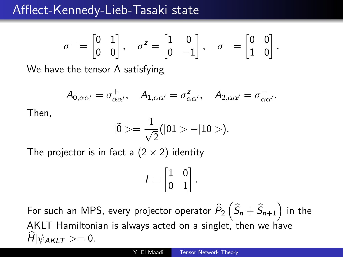### Afflect-Kennedy-Lieb-Tasaki state

$$
\sigma^+ = \begin{bmatrix} 0 & 1 \\ 0 & 0 \end{bmatrix}, \quad \sigma^z = \begin{bmatrix} 1 & 0 \\ 0 & -1 \end{bmatrix}, \quad \sigma^- = \begin{bmatrix} 0 & 0 \\ 1 & 0 \end{bmatrix}.
$$

We have the tensor A satisfying

$$
A_{0,\alpha\alpha'}=\sigma_{\alpha\alpha'}^{+},\quad A_{1,\alpha\alpha'}=\sigma_{\alpha\alpha'}^{z},\quad A_{2,\alpha\alpha'}=\sigma_{\alpha\alpha'}^{-}.
$$

Then,

$$
|\tilde{0}\rangle = \frac{1}{\sqrt{2}}(|01 \rangle - |10 \rangle).
$$

The projector is in fact a  $(2 \times 2)$  identity

$$
I=\begin{bmatrix} 1 & 0 \\ 0 & 1 \end{bmatrix}.
$$

For such an MPS, every projector operator  $\widehat{P}_2\left(\widehat{S}_n + \widehat{S}_{n+1}\right)$  in the AKLT Hamiltonian is always acted on a singlet, then we have  $\hat{H}|\psi_{AKIT}\rangle=0.$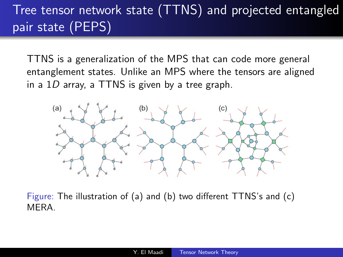## Tree tensor network state (TTNS) and projected entangled pair state (PEPS)

TTNS is a generalization of the MPS that can code more general entanglement states. Unlike an MPS where the tensors are aligned in a  $1D$  array, a TTNS is given by a tree graph.



Figure: The illustration of (a) and (b) two different TTNS's and (c) **MFRA**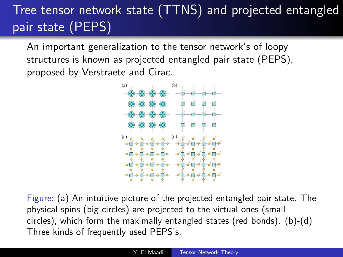# Tree tensor network state (TTNS) and projected entangled pair state (PEPS)

An important generalization to the tensor network's of loopy structures is known as projected entangled pair state (PEPS), proposed by Verstraete and Cirac.



Figure: (a) An intuitive picture of the projected entangled pair state. The physical spins (big circles) are projected to the virtual ones (small circles), which form the maximally entangled states (red bonds). (b)-(d) Three kinds of frequently used PEPS's.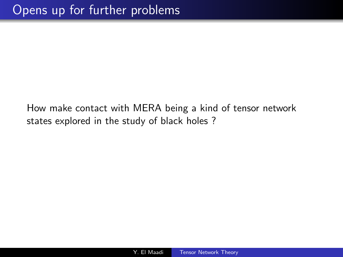How make contact with MERA being a kind of tensor network states explored in the study of black holes ?